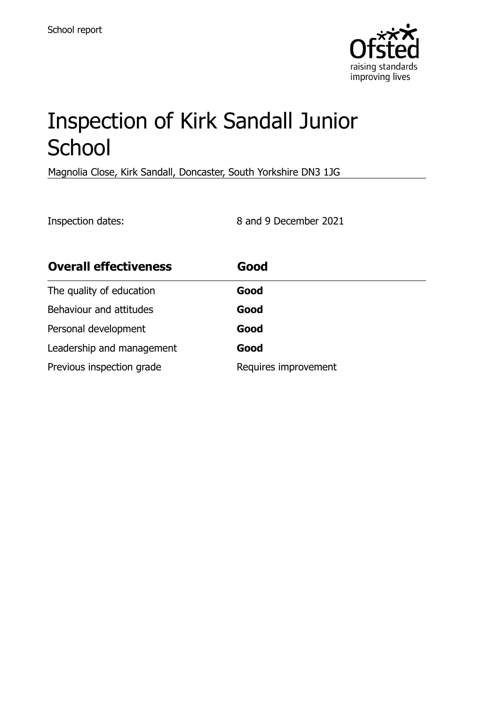

# Inspection of Kirk Sandall Junior **School**

Magnolia Close, Kirk Sandall, Doncaster, South Yorkshire DN3 1JG

Inspection dates: 8 and 9 December 2021

| <b>Overall effectiveness</b> | Good                 |
|------------------------------|----------------------|
| The quality of education     | Good                 |
| Behaviour and attitudes      | Good                 |
| Personal development         | Good                 |
| Leadership and management    | Good                 |
| Previous inspection grade    | Requires improvement |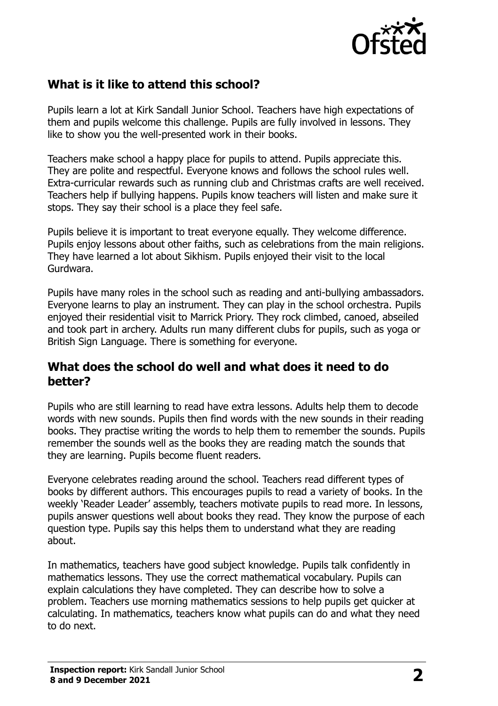

## **What is it like to attend this school?**

Pupils learn a lot at Kirk Sandall Junior School. Teachers have high expectations of them and pupils welcome this challenge. Pupils are fully involved in lessons. They like to show you the well-presented work in their books.

Teachers make school a happy place for pupils to attend. Pupils appreciate this. They are polite and respectful. Everyone knows and follows the school rules well. Extra-curricular rewards such as running club and Christmas crafts are well received. Teachers help if bullying happens. Pupils know teachers will listen and make sure it stops. They say their school is a place they feel safe.

Pupils believe it is important to treat everyone equally. They welcome difference. Pupils enjoy lessons about other faiths, such as celebrations from the main religions. They have learned a lot about Sikhism. Pupils enjoyed their visit to the local Gurdwara.

Pupils have many roles in the school such as reading and anti-bullying ambassadors. Everyone learns to play an instrument. They can play in the school orchestra. Pupils enjoyed their residential visit to Marrick Priory. They rock climbed, canoed, abseiled and took part in archery. Adults run many different clubs for pupils, such as yoga or British Sign Language. There is something for everyone.

### **What does the school do well and what does it need to do better?**

Pupils who are still learning to read have extra lessons. Adults help them to decode words with new sounds. Pupils then find words with the new sounds in their reading books. They practise writing the words to help them to remember the sounds. Pupils remember the sounds well as the books they are reading match the sounds that they are learning. Pupils become fluent readers.

Everyone celebrates reading around the school. Teachers read different types of books by different authors. This encourages pupils to read a variety of books. In the weekly 'Reader Leader' assembly, teachers motivate pupils to read more. In lessons, pupils answer questions well about books they read. They know the purpose of each question type. Pupils say this helps them to understand what they are reading about.

In mathematics, teachers have good subject knowledge. Pupils talk confidently in mathematics lessons. They use the correct mathematical vocabulary. Pupils can explain calculations they have completed. They can describe how to solve a problem. Teachers use morning mathematics sessions to help pupils get quicker at calculating. In mathematics, teachers know what pupils can do and what they need to do next.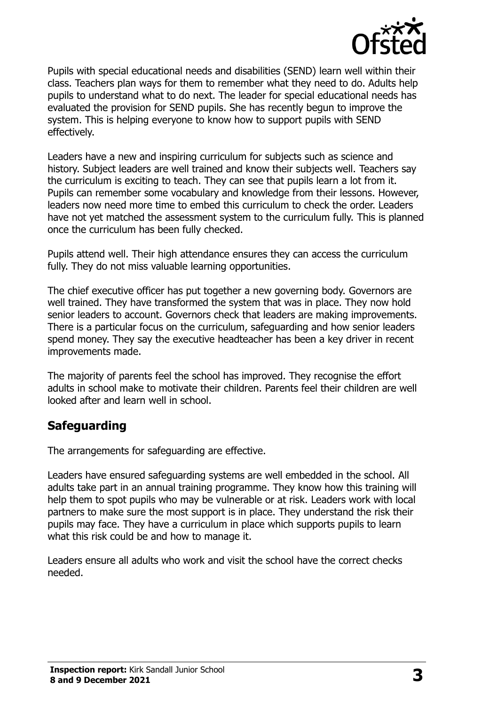

Pupils with special educational needs and disabilities (SEND) learn well within their class. Teachers plan ways for them to remember what they need to do. Adults help pupils to understand what to do next. The leader for special educational needs has evaluated the provision for SEND pupils. She has recently begun to improve the system. This is helping everyone to know how to support pupils with SEND effectively.

Leaders have a new and inspiring curriculum for subjects such as science and history. Subject leaders are well trained and know their subjects well. Teachers say the curriculum is exciting to teach. They can see that pupils learn a lot from it. Pupils can remember some vocabulary and knowledge from their lessons. However, leaders now need more time to embed this curriculum to check the order. Leaders have not yet matched the assessment system to the curriculum fully. This is planned once the curriculum has been fully checked.

Pupils attend well. Their high attendance ensures they can access the curriculum fully. They do not miss valuable learning opportunities.

The chief executive officer has put together a new governing body. Governors are well trained. They have transformed the system that was in place. They now hold senior leaders to account. Governors check that leaders are making improvements. There is a particular focus on the curriculum, safeguarding and how senior leaders spend money. They say the executive headteacher has been a key driver in recent improvements made.

The majority of parents feel the school has improved. They recognise the effort adults in school make to motivate their children. Parents feel their children are well looked after and learn well in school.

## **Safeguarding**

The arrangements for safeguarding are effective.

Leaders have ensured safeguarding systems are well embedded in the school. All adults take part in an annual training programme. They know how this training will help them to spot pupils who may be vulnerable or at risk. Leaders work with local partners to make sure the most support is in place. They understand the risk their pupils may face. They have a curriculum in place which supports pupils to learn what this risk could be and how to manage it.

Leaders ensure all adults who work and visit the school have the correct checks needed.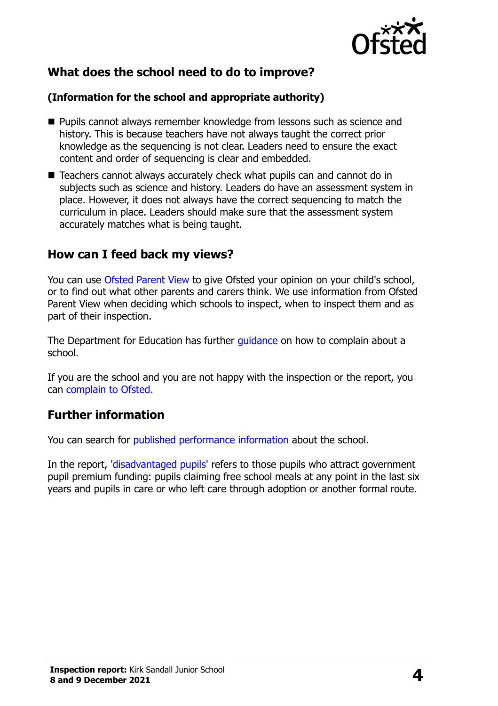

## **What does the school need to do to improve?**

#### **(Information for the school and appropriate authority)**

- **Pupils cannot always remember knowledge from lessons such as science and** history. This is because teachers have not always taught the correct prior knowledge as the sequencing is not clear. Leaders need to ensure the exact content and order of sequencing is clear and embedded.
- Teachers cannot always accurately check what pupils can and cannot do in subjects such as science and history. Leaders do have an assessment system in place. However, it does not always have the correct sequencing to match the curriculum in place. Leaders should make sure that the assessment system accurately matches what is being taught.

### **How can I feed back my views?**

You can use [Ofsted Parent View](http://parentview.ofsted.gov.uk/) to give Ofsted your opinion on your child's school, or to find out what other parents and carers think. We use information from Ofsted Parent View when deciding which schools to inspect, when to inspect them and as part of their inspection.

The Department for Education has further quidance on how to complain about a school.

If you are the school and you are not happy with the inspection or the report, you can [complain to Ofsted.](http://www.gov.uk/complain-ofsted-report)

## **Further information**

You can search for [published performance information](http://www.compare-school-performance.service.gov.uk/) about the school.

In the report, ['disadvantaged pupils'](http://www.gov.uk/guidance/pupil-premium-information-for-schools-and-alternative-provision-settings) refers to those pupils who attract government pupil premium funding: pupils claiming free school meals at any point in the last six years and pupils in care or who left care through adoption or another formal route.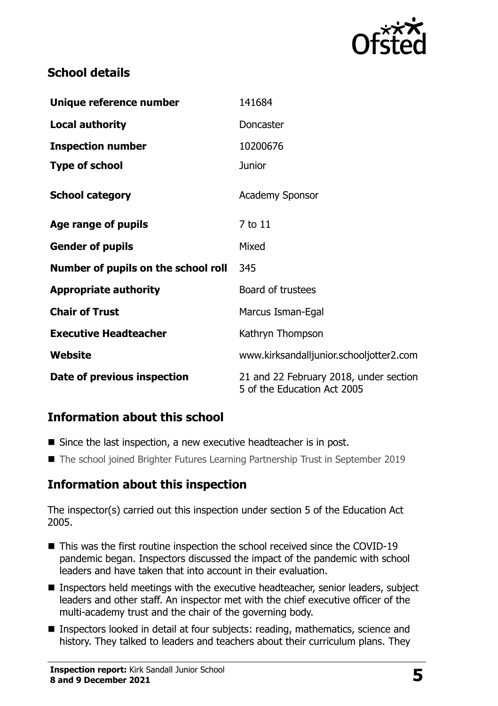

## **School details**

| Unique reference number             | 141684                                                                |
|-------------------------------------|-----------------------------------------------------------------------|
| <b>Local authority</b>              | Doncaster                                                             |
| <b>Inspection number</b>            | 10200676                                                              |
| <b>Type of school</b>               | <b>Junior</b>                                                         |
| <b>School category</b>              | <b>Academy Sponsor</b>                                                |
| Age range of pupils                 | 7 to 11                                                               |
| <b>Gender of pupils</b>             | Mixed                                                                 |
| Number of pupils on the school roll | 345                                                                   |
| <b>Appropriate authority</b>        | Board of trustees                                                     |
| <b>Chair of Trust</b>               | Marcus Isman-Egal                                                     |
| <b>Executive Headteacher</b>        | Kathryn Thompson                                                      |
| Website                             | www.kirksandalljunior.schooljotter2.com                               |
| Date of previous inspection         | 21 and 22 February 2018, under section<br>5 of the Education Act 2005 |

## **Information about this school**

- Since the last inspection, a new executive headteacher is in post.
- The school joined Brighter Futures Learning Partnership Trust in September 2019

## **Information about this inspection**

The inspector(s) carried out this inspection under section 5 of the Education Act 2005.

- This was the first routine inspection the school received since the COVID-19 pandemic began. Inspectors discussed the impact of the pandemic with school leaders and have taken that into account in their evaluation.
- Inspectors held meetings with the executive headteacher, senior leaders, subject leaders and other staff. An inspector met with the chief executive officer of the multi-academy trust and the chair of the governing body.
- Inspectors looked in detail at four subjects: reading, mathematics, science and history. They talked to leaders and teachers about their curriculum plans. They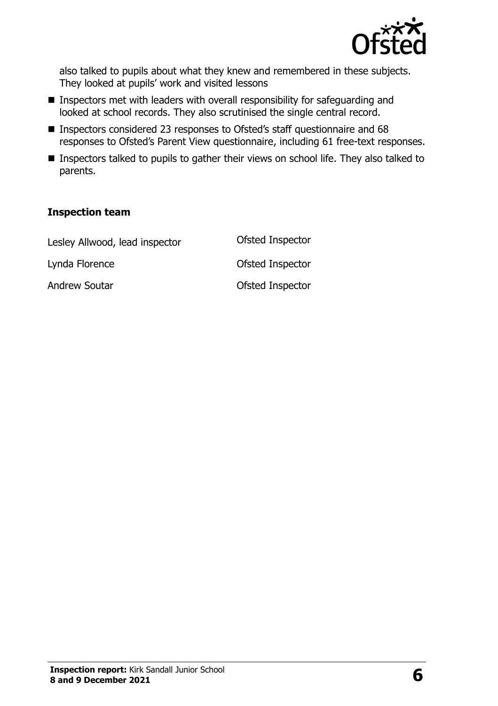

also talked to pupils about what they knew and remembered in these subjects. They looked at pupils' work and visited lessons

- **Inspectors met with leaders with overall responsibility for safeguarding and** looked at school records. They also scrutinised the single central record.
- Inspectors considered 23 responses to Ofsted's staff questionnaire and 68 responses to Ofsted's Parent View questionnaire, including 61 free-text responses.
- **Inspectors talked to pupils to gather their views on school life. They also talked to** parents.

#### **Inspection team**

| Lesley Allwood, lead inspector | Ofsted Inspector |
|--------------------------------|------------------|
| Lynda Florence                 | Ofsted Inspector |
| <b>Andrew Soutar</b>           | Ofsted Inspector |